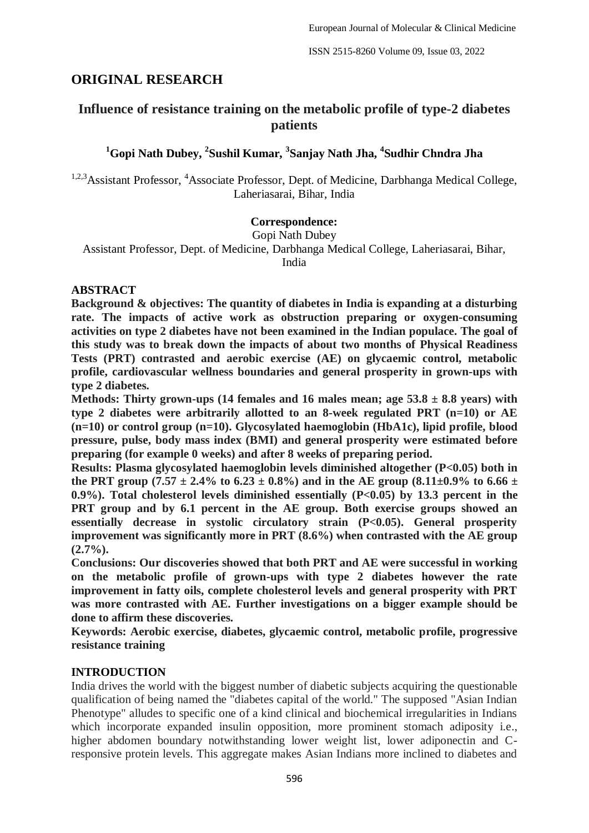# **ORIGINAL RESEARCH**

# **Influence of resistance training on the metabolic profile of type-2 diabetes patients**

# **<sup>1</sup>Gopi Nath Dubey, <sup>2</sup> Sushil Kumar, <sup>3</sup> Sanjay Nath Jha, <sup>4</sup> Sudhir Chndra Jha**

<sup>1,2,3</sup>Assistant Professor, <sup>4</sup>Associate Professor, Dept. of Medicine, Darbhanga Medical College, Laheriasarai, Bihar, India

# **Correspondence:**

Gopi Nath Dubey

Assistant Professor, Dept. of Medicine, Darbhanga Medical College, Laheriasarai, Bihar, India

# **ABSTRACT**

**Background & objectives: The quantity of diabetes in India is expanding at a disturbing rate. The impacts of active work as obstruction preparing or oxygen-consuming activities on type 2 diabetes have not been examined in the Indian populace. The goal of this study was to break down the impacts of about two months of Physical Readiness Tests (PRT) contrasted and aerobic exercise (AE) on glycaemic control, metabolic profile, cardiovascular wellness boundaries and general prosperity in grown-ups with type 2 diabetes.**

**Methods: Thirty grown-ups (14 females and 16 males mean; age 53.8 ± 8.8 years) with type 2 diabetes were arbitrarily allotted to an 8-week regulated PRT (n=10) or AE (n=10) or control group (n=10). Glycosylated haemoglobin (HbA1c), lipid profile, blood pressure, pulse, body mass index (BMI) and general prosperity were estimated before preparing (for example 0 weeks) and after 8 weeks of preparing period.**

**Results: Plasma glycosylated haemoglobin levels diminished altogether (P<0.05) both in**  the PRT group  $(7.57 \pm 2.4\%$  to  $6.23 \pm 0.8\%)$  and in the AE group  $(8.11 \pm 0.9\%$  to  $6.66 \pm 0.05\%)$ **0.9%). Total cholesterol levels diminished essentially (P<0.05) by 13.3 percent in the PRT group and by 6.1 percent in the AE group. Both exercise groups showed an essentially decrease in systolic circulatory strain (P<0.05). General prosperity improvement was significantly more in PRT (8.6%) when contrasted with the AE group (2.7%).**

**Conclusions: Our discoveries showed that both PRT and AE were successful in working on the metabolic profile of grown-ups with type 2 diabetes however the rate improvement in fatty oils, complete cholesterol levels and general prosperity with PRT was more contrasted with AE. Further investigations on a bigger example should be done to affirm these discoveries.**

**Keywords: Aerobic exercise, diabetes, glycaemic control, metabolic profile, progressive resistance training**

# **INTRODUCTION**

India drives the world with the biggest number of diabetic subjects acquiring the questionable qualification of being named the "diabetes capital of the world." The supposed "Asian Indian Phenotype" alludes to specific one of a kind clinical and biochemical irregularities in Indians which incorporate expanded insulin opposition, more prominent stomach adiposity i.e., higher abdomen boundary notwithstanding lower weight list, lower adiponectin and Cresponsive protein levels. This aggregate makes Asian Indians more inclined to diabetes and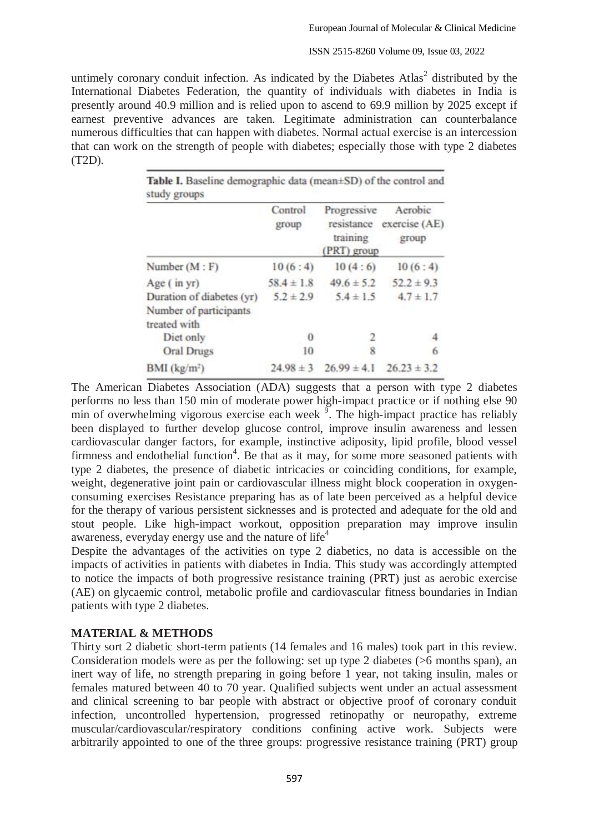#### ISSN 2515-8260 Volume 09, Issue 03, 2022

untimely coronary conduit infection. As indicated by the Diabetes  $Atlas<sup>2</sup>$  distributed by the International Diabetes Federation, the quantity of individuals with diabetes in India is presently around 40.9 million and is relied upon to ascend to 69.9 million by 2025 except if earnest preventive advances are taken. Legitimate administration can counterbalance numerous difficulties that can happen with diabetes. Normal actual exercise is an intercession that can work on the strength of people with diabetes; especially those with type 2 diabetes (T2D).

|                                                                     | Control<br>group | Progressive<br>resistance<br>training<br>(PRT) group | Aerobic<br>exercise (AE)<br>group |  |
|---------------------------------------------------------------------|------------------|------------------------------------------------------|-----------------------------------|--|
| Number $(M : F)$                                                    | 10(6:4)          | 10(4:6)                                              | 10(6:4)                           |  |
| Age (in yr)                                                         | $58.4 \pm 1.8$   | $49.6 \pm 5.2$                                       | $52.2 \pm 9.3$                    |  |
| Duration of diabetes (yr)<br>Number of participants<br>treated with | $5.2 \pm 2.9$    | $5.4 \pm 1.5$                                        | $4.7 \pm 1.7$                     |  |
| Diet only                                                           | $\Omega$         |                                                      |                                   |  |
| <b>Oral Drugs</b>                                                   | 10               | 8                                                    | 6                                 |  |
| BMI (kg/m <sup>2</sup> )                                            | $24.98 \pm 3$    | $26.99 \pm 4.1$                                      | $26.23 \pm 3.2$                   |  |

The American Diabetes Association (ADA) suggests that a person with type 2 diabetes performs no less than 150 min of moderate power high-impact practice or if nothing else 90 min of overwhelming vigorous exercise each week  $\frac{9}{2}$ . The high-impact practice has reliably been displayed to further develop glucose control, improve insulin awareness and lessen cardiovascular danger factors, for example, instinctive adiposity, lipid profile, blood vessel firmness and endothelial function<sup>4</sup>. Be that as it may, for some more seasoned patients with type 2 diabetes, the presence of diabetic intricacies or coinciding conditions, for example, weight, degenerative joint pain or cardiovascular illness might block cooperation in oxygenconsuming exercises Resistance preparing has as of late been perceived as a helpful device for the therapy of various persistent sicknesses and is protected and adequate for the old and stout people. Like high-impact workout, opposition preparation may improve insulin awareness, everyday energy use and the nature of life<sup>4</sup>

Despite the advantages of the activities on type 2 diabetics, no data is accessible on the impacts of activities in patients with diabetes in India. This study was accordingly attempted to notice the impacts of both progressive resistance training (PRT) just as aerobic exercise (AE) on glycaemic control, metabolic profile and cardiovascular fitness boundaries in Indian patients with type 2 diabetes.

## **MATERIAL & METHODS**

Thirty sort 2 diabetic short-term patients (14 females and 16 males) took part in this review. Consideration models were as per the following: set up type 2 diabetes (>6 months span), an inert way of life, no strength preparing in going before 1 year, not taking insulin, males or females matured between 40 to 70 year. Qualified subjects went under an actual assessment and clinical screening to bar people with abstract or objective proof of coronary conduit infection, uncontrolled hypertension, progressed retinopathy or neuropathy, extreme muscular/cardiovascular/respiratory conditions confining active work. Subjects were arbitrarily appointed to one of the three groups: progressive resistance training (PRT) group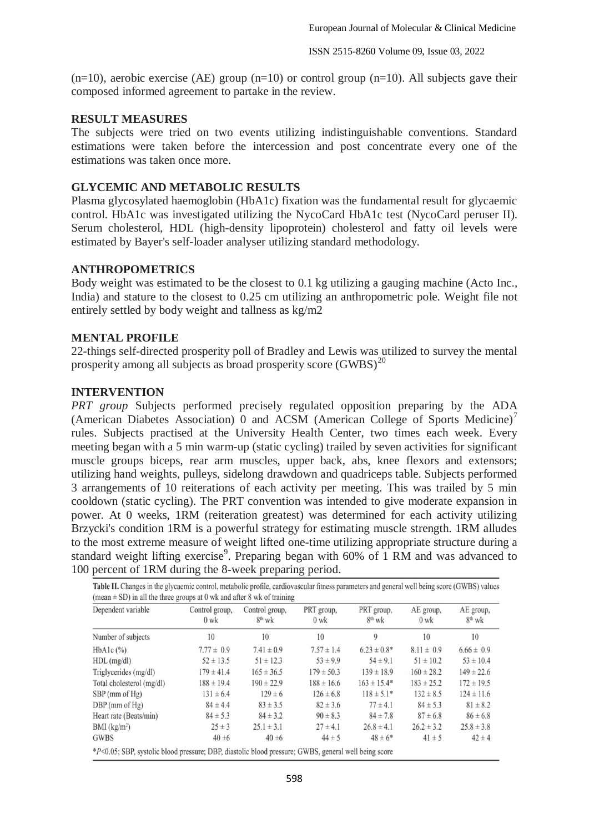$(n=10)$ , aerobic exercise (AE) group  $(n=10)$  or control group  $(n=10)$ . All subjects gave their composed informed agreement to partake in the review.

### **RESULT MEASURES**

The subjects were tried on two events utilizing indistinguishable conventions. Standard estimations were taken before the intercession and post concentrate every one of the estimations was taken once more.

## **GLYCEMIC AND METABOLIC RESULTS**

Plasma glycosylated haemoglobin (HbA1c) fixation was the fundamental result for glycaemic control. HbA1c was investigated utilizing the NycoCard HbA1c test (NycoCard peruser II). Serum cholesterol, HDL (high-density lipoprotein) cholesterol and fatty oil levels were estimated by Bayer's self-loader analyser utilizing standard methodology.

### **ANTHROPOMETRICS**

Body weight was estimated to be the closest to 0.1 kg utilizing a gauging machine (Acto Inc., India) and stature to the closest to 0.25 cm utilizing an anthropometric pole. Weight file not entirely settled by body weight and tallness as kg/m2

### **MENTAL PROFILE**

22-things self-directed prosperity poll of Bradley and Lewis was utilized to survey the mental prosperity among all subjects as broad prosperity score  $(GWBS)^{20}$ 

### **INTERVENTION**

*PRT group* Subjects performed precisely regulated opposition preparing by the ADA (American Diabetes Association) 0 and ACSM (American College of Sports Medicine)<sup>7</sup> rules. Subjects practised at the University Health Center, two times each week. Every meeting began with a 5 min warm-up (static cycling) trailed by seven activities for significant muscle groups biceps, rear arm muscles, upper back, abs, knee flexors and extensors; utilizing hand weights, pulleys, sidelong drawdown and quadriceps table. Subjects performed 3 arrangements of 10 reiterations of each activity per meeting. This was trailed by 5 min cooldown (static cycling). The PRT convention was intended to give moderate expansion in power. At 0 weeks, 1RM (reiteration greatest) was determined for each activity utilizing Brzycki's condition 1RM is a powerful strategy for estimating muscle strength. 1RM alludes to the most extreme measure of weight lifted one-time utilizing appropriate structure during a standard weight lifting exercise<sup>9</sup>. Preparing began with  $60\%$  of 1 RM and was advanced to 100 percent of 1RM during the 8-week preparing period.

| Dependent variable        | Control group,<br>$0$ wk | Control group,<br>$8^{th}$ wk | PRT group,<br>$0 \text{ wk}$ | PRT group,<br>$8^{th}$ wk | AE group,<br>$0 \text{ wk}$ | AE group,<br>$8^{th}$ wk |
|---------------------------|--------------------------|-------------------------------|------------------------------|---------------------------|-----------------------------|--------------------------|
| Number of subjects        | 10                       | 10                            | 10                           | 9                         | 10                          | 10                       |
| $HbA1c$ $(\%)$            | $7.77 \pm 0.9$           | $7.41 \pm 0.9$                | $7.57 \pm 1.4$               | $6.23 \pm 0.8^*$          | $8.11 \pm 0.9$              | $6.66 \pm 0.9$           |
| $HDL$ (mg/dl)             | $52 \pm 13.5$            | $51 \pm 12.3$                 | $53 \pm 9.9$                 | $54 \pm 9.1$              | $51 \pm 10.2$               | $53 \pm 10.4$            |
| Triglycerides $(mg/dl)$   | $179 \pm 41.4$           | $165 \pm 36.5$                | $179 \pm 50.3$               | $139 \pm 18.9$            | $160 \pm 28.2$              | $149 \pm 22.6$           |
| Total cholesterol (mg/dl) | $188 \pm 19.4$           | $190 \pm 22.9$                | $188 \pm 16.6$               | $163 \pm 15.4*$           | $183 \pm 25.2$              | $172 \pm 19.5$           |
| $SBP$ (mm of $Hg$ )       | $131 \pm 6.4$            | $129 \pm 6$                   | $126 \pm 6.8$                | $118 \pm 5.1*$            | $132 \pm 8.5$               | $124 \pm 11.6$           |
| $DBP$ (mm of $Hg$ )       | $84 \pm 4.4$             | $83 \pm 3.5$                  | $82 \pm 3.6$                 | $77 \pm 4.1$              | $84 \pm 5.3$                | $81 \pm 8.2$             |
| Heart rate (Beats/min)    | $84 \pm 5.3$             | $84 \pm 3.2$                  | $90 \pm 8.3$                 | $84 \pm 7.8$              | $87 \pm 6.8$                | $86 \pm 6.8$             |
| BMI (kg/m <sup>2</sup> )  | $25 \pm 3$               | $25.1 \pm 3.1$                | $27 \pm 4.1$                 | $26.8 \pm 4.1$            | $26.2 \pm 3.2$              | $25.8 \pm 3.8$           |
| <b>GWBS</b>               | $40 \pm 6$               | $40 \pm 6$                    | $44 \pm 5$                   | $48 \pm 6*$               | $41 \pm 5$                  | $42 \pm 4$               |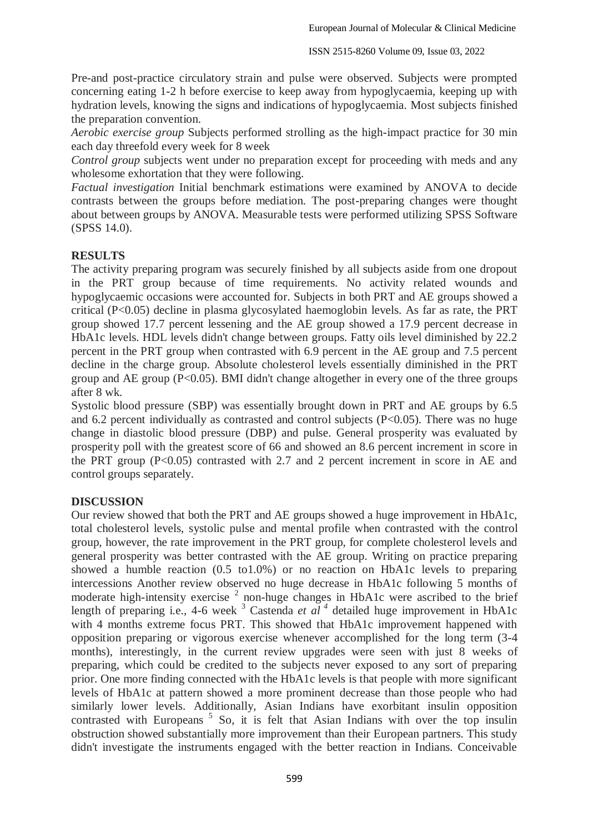Pre-and post-practice circulatory strain and pulse were observed. Subjects were prompted concerning eating 1-2 h before exercise to keep away from hypoglycaemia, keeping up with hydration levels, knowing the signs and indications of hypoglycaemia. Most subjects finished the preparation convention.

*Aerobic exercise group* Subjects performed strolling as the high-impact practice for 30 min each day threefold every week for 8 week

*Control group* subjects went under no preparation except for proceeding with meds and any wholesome exhortation that they were following.

*Factual investigation* Initial benchmark estimations were examined by ANOVA to decide contrasts between the groups before mediation. The post-preparing changes were thought about between groups by ANOVA. Measurable tests were performed utilizing SPSS Software (SPSS 14.0).

# **RESULTS**

The activity preparing program was securely finished by all subjects aside from one dropout in the PRT group because of time requirements. No activity related wounds and hypoglycaemic occasions were accounted for. Subjects in both PRT and AE groups showed a critical (P<0.05) decline in plasma glycosylated haemoglobin levels. As far as rate, the PRT group showed 17.7 percent lessening and the AE group showed a 17.9 percent decrease in HbA1c levels. HDL levels didn't change between groups. Fatty oils level diminished by 22.2 percent in the PRT group when contrasted with 6.9 percent in the AE group and 7.5 percent decline in the charge group. Absolute cholesterol levels essentially diminished in the PRT group and AE group  $(P<0.05)$ . BMI didn't change altogether in every one of the three groups after 8 wk.

Systolic blood pressure (SBP) was essentially brought down in PRT and AE groups by 6.5 and  $6.2$  percent individually as contrasted and control subjects ( $P<0.05$ ). There was no huge change in diastolic blood pressure (DBP) and pulse. General prosperity was evaluated by prosperity poll with the greatest score of 66 and showed an 8.6 percent increment in score in the PRT group  $(P<0.05)$  contrasted with 2.7 and 2 percent increment in score in AE and control groups separately.

# **DISCUSSION**

Our review showed that both the PRT and AE groups showed a huge improvement in HbA1c, total cholesterol levels, systolic pulse and mental profile when contrasted with the control group, however, the rate improvement in the PRT group, for complete cholesterol levels and general prosperity was better contrasted with the AE group. Writing on practice preparing showed a humble reaction (0.5 to1.0%) or no reaction on HbA1c levels to preparing intercessions Another review observed no huge decrease in HbA1c following 5 months of moderate high-intensity exercise<sup>2</sup> non-huge changes in HbA1c were ascribed to the brief length of preparing i.e., 4-6 week  $3$  Castenda *et al*  $4$  detailed huge improvement in HbA1c with 4 months extreme focus PRT. This showed that HbA1c improvement happened with opposition preparing or vigorous exercise whenever accomplished for the long term (3-4 months), interestingly, in the current review upgrades were seen with just 8 weeks of preparing, which could be credited to the subjects never exposed to any sort of preparing prior. One more finding connected with the HbA1c levels is that people with more significant levels of HbA1c at pattern showed a more prominent decrease than those people who had similarly lower levels. Additionally, Asian Indians have exorbitant insulin opposition contrasted with Europeans<sup>5</sup> So, it is felt that Asian Indians with over the top insulin obstruction showed substantially more improvement than their European partners. This study didn't investigate the instruments engaged with the better reaction in Indians. Conceivable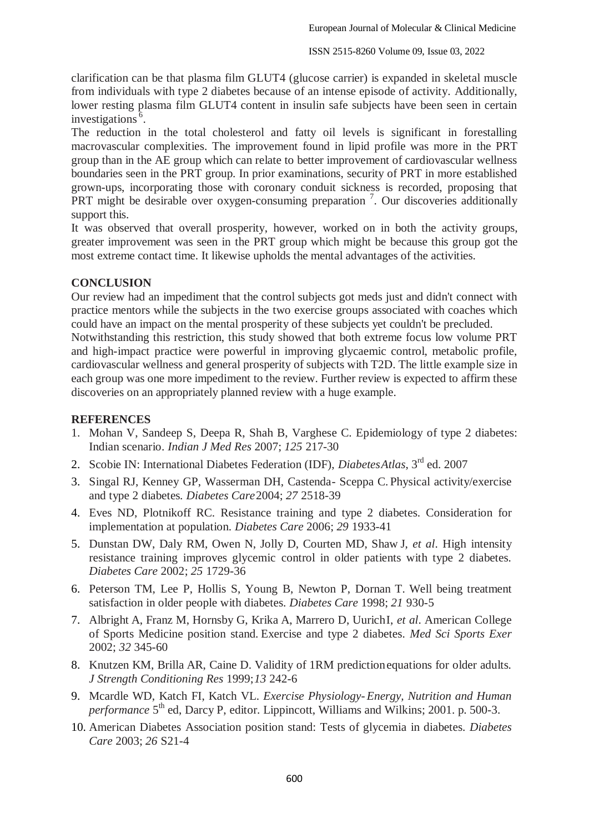clarification can be that plasma film GLUT4 (glucose carrier) is expanded in skeletal muscle from individuals with type 2 diabetes because of an intense episode of activity. Additionally, lower resting plasma film GLUT4 content in insulin safe subjects have been seen in certain investigations  $\overline{6}$ .

The reduction in the total cholesterol and fatty oil levels is significant in forestalling macrovascular complexities. The improvement found in lipid profile was more in the PRT group than in the AE group which can relate to better improvement of cardiovascular wellness boundaries seen in the PRT group. In prior examinations, security of PRT in more established grown-ups, incorporating those with coronary conduit sickness is recorded, proposing that PRT might be desirable over oxygen-consuming preparation<sup>7</sup>. Our discoveries additionally support this.

It was observed that overall prosperity, however, worked on in both the activity groups, greater improvement was seen in the PRT group which might be because this group got the most extreme contact time. It likewise upholds the mental advantages of the activities.

# **CONCLUSION**

Our review had an impediment that the control subjects got meds just and didn't connect with practice mentors while the subjects in the two exercise groups associated with coaches which could have an impact on the mental prosperity of these subjects yet couldn't be precluded. Notwithstanding this restriction, this study showed that both extreme focus low volume PRT and high-impact practice were powerful in improving glycaemic control, metabolic profile, cardiovascular wellness and general prosperity of subjects with T2D. The little example size in each group was one more impediment to the review. Further review is expected to affirm these

# **REFERENCES**

- 1. Mohan V, Sandeep S, Deepa R, Shah B, Varghese C. Epidemiology of type 2 diabetes: Indian scenario. *Indian J Med Res* 2007; *125* 217-30
- 2. Scobie IN: International Diabetes Federation (IDF), *DiabetesAtlas*, 3<sup>rd</sup> ed. 2007

discoveries on an appropriately planned review with a huge example.

- 3. Singal RJ, Kenney GP, Wasserman DH, Castenda- Sceppa C. Physical activity/exercise and type 2 diabetes*. Diabetes Care*2004; *27* 2518-39
- 4. Eves ND, Plotnikoff RC. Resistance training and type 2 diabetes. Consideration for implementation at population. *Diabetes Care* 2006; *29* 1933-41
- 5. Dunstan DW, Daly RM, Owen N, Jolly D, Courten MD, Shaw J, *et al*. High intensity resistance training improves glycemic control in older patients with type 2 diabetes*. Diabetes Care* 2002; *25* 1729-36
- 6. Peterson TM, Lee P, Hollis S, Young B, Newton P, Dornan T. Well being treatment satisfaction in older people with diabetes. *Diabetes Care* 1998; *21* 930-5
- 7. Albright A, Franz M, Hornsby G, Krika A, Marrero D, UurichI, *et al*. American College of Sports Medicine position stand. Exercise and type 2 diabetes. *Med Sci Sports Exer* 2002; *32* 345-60
- 8. Knutzen KM, Brilla AR, Caine D. Validity of 1RM predictionequations for older adults*. J Strength Conditioning Res* 1999;*13* 242-6
- 9. Mcardle WD, Katch FI, Katch VL. *Exercise Physiology-Energy, Nutrition and Human*  performance 5<sup>th</sup> ed, Darcy P, editor. Lippincott, Williams and Wilkins; 2001. p. 500-3.
- 10. American Diabetes Association position stand: Tests of glycemia in diabetes. *Diabetes Care* 2003; *26* S21-4